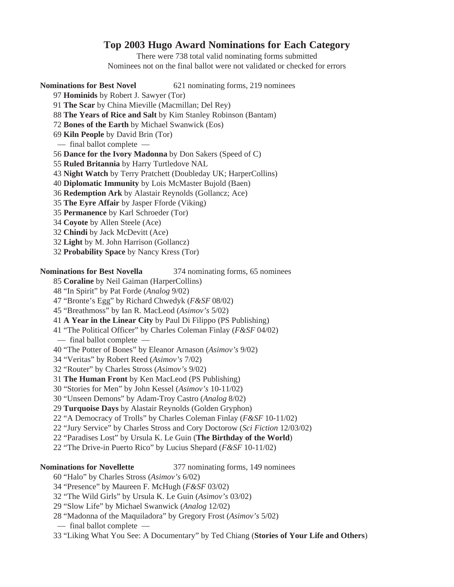# **Top 2003 Hugo Award Nominations for Each Category**

There were 738 total valid nominating forms submitted Nominees not on the final ballot were not validated or checked for errors

**Nominations for Best Novel** 621 nominating forms, 219 nominees

- 97 **Hominids** by Robert J. Sawyer (Tor)
- 91 **The Scar** by China Mieville (Macmillan; Del Rey)
- 88 **The Years of Rice and Salt** by Kim Stanley Robinson (Bantam)
- 72 **Bones of the Earth** by Michael Swanwick (Eos)
- 69 **Kiln People** by David Brin (Tor)
- final ballot complete —
- 56 **Dance for the Ivory Madonna** by Don Sakers (Speed of C)
- 55 **Ruled Britannia** by Harry Turtledove NAL
- 43 **Night Watch** by Terry Pratchett (Doubleday UK; HarperCollins)
- 40 **Diplomatic Immunity** by Lois McMaster Bujold (Baen)
- 36 **Redemption Ark** by Alastair Reynolds (Gollancz; Ace)
- 35 **The Eyre Affair** by Jasper Fforde (Viking)
- 35 **Permanence** by Karl Schroeder (Tor)
- 34 **Coyote** by Allen Steele (Ace)
- 32 **Chindi** by Jack McDevitt (Ace)
- 32 **Light** by M. John Harrison (Gollancz)
- 32 **Probability Space** by Nancy Kress (Tor)

## **Nominations for Best Novella** 374 nominating forms, 65 nominees

85 **Coraline** by Neil Gaiman (HarperCollins)

- 48 "In Spirit" by Pat Forde (*Analog* 9/02)
- 47 "Bronte's Egg" by Richard Chwedyk (*F&SF* 08/02)
- 45 "Breathmoss" by Ian R. MacLeod (*Asimov's* 5/02)
- 41 **A Year in the Linear City** by Paul Di Filippo (PS Publishing)
- 41 "The Political Officer" by Charles Coleman Finlay (*F&SF* 04/02)
- final ballot complete —
- 40 "The Potter of Bones" by Eleanor Arnason (*Asimov's* 9/02)
- 34 "Veritas" by Robert Reed (*Asimov's* 7/02)
- 32 "Router" by Charles Stross (*Asimov's* 9/02)
- 31 **The Human Front** by Ken MacLeod (PS Publishing)
- 30 "Stories for Men" by John Kessel (*Asimov's* 10-11/02)
- 30 "Unseen Demons" by Adam-Troy Castro (*Analog* 8/02)
- 29 **Turquoise Days** by Alastair Reynolds (Golden Gryphon)
- 22 "A Democracy of Trolls" by Charles Coleman Finlay (*F&SF* 10-11/02)
- 22 "Jury Service" by Charles Stross and Cory Doctorow (*Sci Fiction* 12/03/02)
- 22 "Paradises Lost" by Ursula K. Le Guin (**The Birthday of the World**)
- 22 "The Drive-in Puerto Rico" by Lucius Shepard (*F&SF* 10-11/02)

**Nominations for Novellette** 377 nominating forms, 149 nominees

- 60 "Halo" by Charles Stross (*Asimov's* 6/02)
- 34 "Presence" by Maureen F. McHugh (*F&SF* 03/02)
- 32 "The Wild Girls" by Ursula K. Le Guin (*Asimov's* 03/02)
- 29 "Slow Life" by Michael Swanwick (*Analog* 12/02)
- 28 "Madonna of the Maquiladora" by Gregory Frost (*Asimov's* 5/02)
- final ballot complete —
- 33 "Liking What You See: A Documentary" by Ted Chiang (**Stories of Your Life and Others**)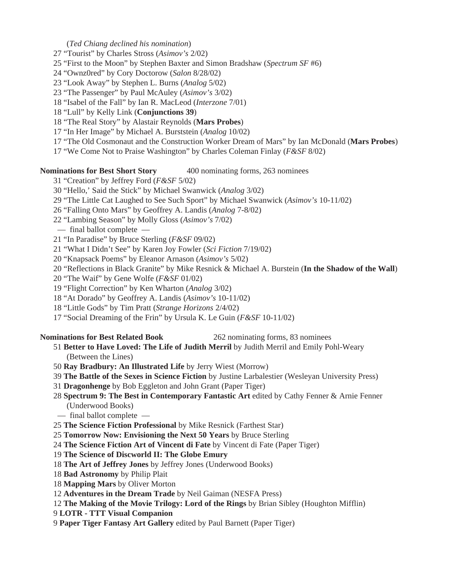(*Ted Chiang declined his nomination*)

- 27 "Tourist" by Charles Stross (*Asimov's* 2/02)
- 25 "First to the Moon" by Stephen Baxter and Simon Bradshaw (*Spectrum SF* #6)
- 24 "Ownz0red" by Cory Doctorow (*Salon* 8/28/02)
- 23 "Look Away" by Stephen L. Burns (*Analog* 5/02)
- 23 "The Passenger" by Paul McAuley (*Asimov's* 3/02)
- 18 "Isabel of the Fall" by Ian R. MacLeod (*Interzone* 7/01)
- 18 "Lull" by Kelly Link (**Conjunctions 39**)
- 18 "The Real Story" by Alastair Reynolds (**Mars Probes**)
- 17 "In Her Image" by Michael A. Burststein (*Analog* 10/02)
- 17 "The Old Cosmonaut and the Construction Worker Dream of Mars" by Ian McDonald (**Mars Probes**)
- 17 "We Come Not to Praise Washington" by Charles Coleman Finlay (*F&SF* 8/02)

### **Nominations for Best Short Story** 400 nominating forms, 263 nominees

- 31 "Creation" by Jeffrey Ford (*F&SF* 5/02)
- 30 "Hello,' Said the Stick" by Michael Swanwick (*Analog* 3/02)
- 29 "The Little Cat Laughed to See Such Sport" by Michael Swanwick (*Asimov's* 10-11/02)
- 26 "Falling Onto Mars" by Geoffrey A. Landis (*Analog* 7-8/02)
- 22 "Lambing Season" by Molly Gloss (*Asimov's* 7/02)
- final ballot complete —
- 21 "In Paradise" by Bruce Sterling (*F&SF* 09/02)
- 21 "What I Didn't See" by Karen Joy Fowler (*Sci Fiction* 7/19/02)
- 20 "Knapsack Poems" by Eleanor Arnason (*Asimov's* 5/02)
- 20 "Reflections in Black Granite" by Mike Resnick & Michael A. Burstein (**In the Shadow of the Wall**)
- 20 "The Waif" by Gene Wolfe (*F&SF* 01/02)
- 19 "Flight Correction" by Ken Wharton (*Analog* 3/02)
- 18 "At Dorado" by Geoffrey A. Landis (*Asimov's* 10-11/02)
- 18 "Little Gods" by Tim Pratt (*Strange Horizons* 2/4/02)
- 17 "Social Dreaming of the Frin" by Ursula K. Le Guin (*F&SF* 10-11/02)

**Nominations for Best Related Book** 262 nominating forms, 83 nominees

- 51 **Better to Have Loved: The Life of Judith Merril** by Judith Merril and Emily Pohl-Weary (Between the Lines)
- 50 **Ray Bradbury: An Illustrated Life** by Jerry Wiest (Morrow)
- 39 **The Battle of the Sexes in Science Fiction** by Justine Larbalestier (Wesleyan University Press)
- 31 **Dragonhenge** by Bob Eggleton and John Grant (Paper Tiger)
- 28 **Spectrum 9: The Best in Contemporary Fantastic Art** edited by Cathy Fenner & Arnie Fenner (Underwood Books)
- final ballot complete —
- 25 **The Science Fiction Professional** by Mike Resnick (Farthest Star)
- 25 **Tomorrow Now: Envisioning the Next 50 Years** by Bruce Sterling
- 24 **The Science Fiction Art of Vincent di Fate** by Vincent di Fate (Paper Tiger)
- 19 **The Science of Discworld II: The Globe Emury**
- 18 **The Art of Jeffrey Jones** by Jeffrey Jones (Underwood Books)
- 18 **Bad Astronomy** by Philip Plait
- 18 **Mapping Mars** by Oliver Morton
- 12 **Adventures in the Dream Trade** by Neil Gaiman (NESFA Press)
- 12 **The Making of the Movie Trilogy: Lord of the Rings** by Brian Sibley (Houghton Mifflin)
- 9 **LOTR TTT Visual Companion**
- 9 **Paper Tiger Fantasy Art Gallery** edited by Paul Barnett (Paper Tiger)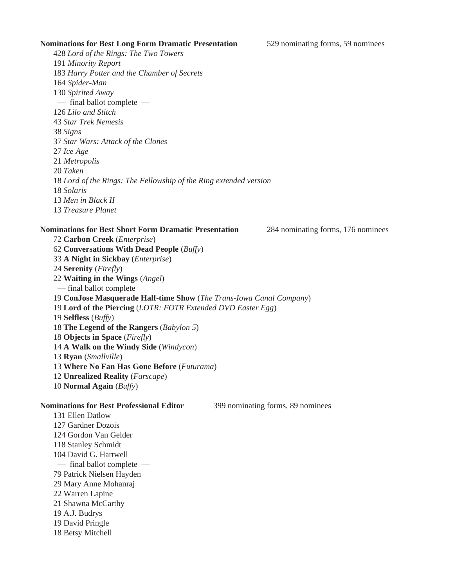### **Nominations for Best Long Form Dramatic Presentation** 529 nominating forms, 59 nominees

*Lord of the Rings: The Two Towers Minority Report Harry Potter and the Chamber of Secrets Spider-Man Spirited Away* — final ballot complete — *Lilo and Stitch Star Trek Nemesis Signs Star Wars: Attack of the Clones Ice Age Metropolis Taken Lord of the Rings: The Fellowship of the Ring extended version Solaris Men in Black II Treasure Planet*

### **Nominations for Best Short Form Dramatic Presentation** 284 nominating forms, 176 nominees

**Carbon Creek** (*Enterprise*) **Conversations With Dead People** (*Buffy*) **A Night in Sickbay** (*Enterprise*) **Serenity** (*Firefly*) **Waiting in the Wings** (*Angel*) — final ballot complete **ConJose Masquerade Half-time Show** (*The Trans-Iowa Canal Company*) **Lord of the Piercing** (*LOTR: FOTR Extended DVD Easter Egg*) **Selfless** (*Buffy*) **The Legend of the Rangers** (*Babylon 5*) **Objects in Space** (*Firefly*) **A Walk on the Windy Side** (*Windycon*) **Ryan** (*Smallville*) **Where No Fan Has Gone Before** (*Futurama*) **Unrealized Reality** (*Farscape*) **Normal Again** (*Buffy*) **Nominations for Best Professional Editor** 399 nominating forms, 89 nominees 131 Ellen Datlow

127 Gardner Dozois 124 Gordon Van Gelder 118 Stanley Schmidt 104 David G. Hartwell — final ballot complete — 79 Patrick Nielsen Hayden 29 Mary Anne Mohanraj 22 Warren Lapine 21 Shawna McCarthy 19 A.J. Budrys 19 David Pringle 18 Betsy Mitchell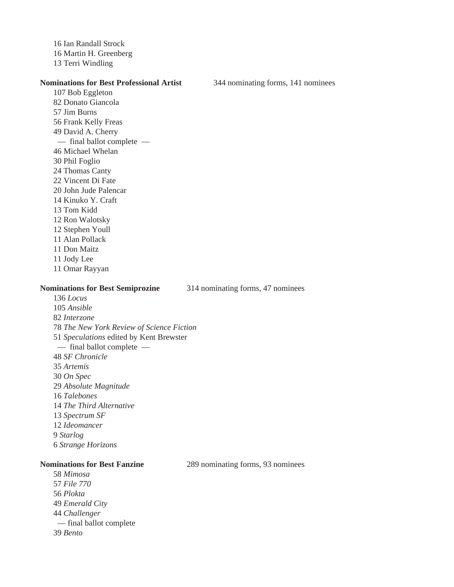16 Ian Randall Strock 16 Martin H. Greenberg 13 Terri Windling

### **Nominations for Best Professional Artist** 344 nominating forms, 141 nominees

107 Bob Eggleton 82 Donato Giancola 57 Jim Burns 56 Frank Kelly Freas 49 David A. Cherry — final ballot complete — 46 Michael Whelan 30 Phil Foglio 24 Thomas Canty 22 Vincent Di Fate 20 John Jude Palencar 14 Kinuko Y. Craft 13 Tom Kidd 12 Ron Walotsky 12 Stephen Youll 11 Alan Pollack 11 Don Maitz 11 Jody Lee 11 Omar Rayyan

### **Nominations for Best Semiprozine** 314 nominating forms, 47 nominees

136 *Locus* 105 *Ansible Interzone The New York Review of Science Fiction Speculations* edited by Kent Brewster — final ballot complete — *SF Chronicle* 35 *Artemis* 30 *On Spec Absolute Magnitude Talebones The Third Alternative Spectrum SF Ideomancer* 9 *Starlog Strange Horizons*

58 *Mimosa* 57 *File 770* 56 *Plokta* 49 *Emerald City* 44 *Challenger* — final ballot complete 39 *Bento*

**Nominations for Best Fanzine** 289 nominating forms, 93 nominees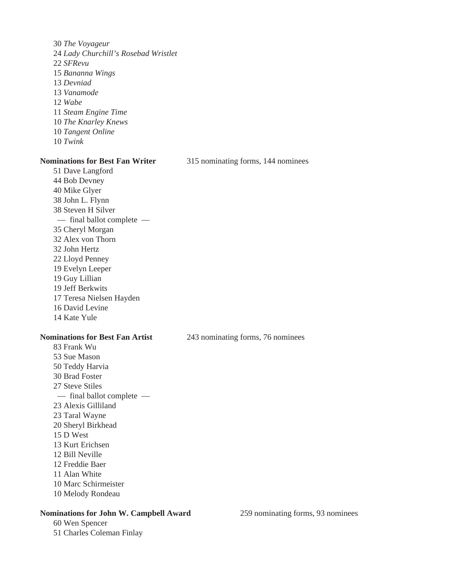30 *The Voyageur* 24 *Lady Churchill's Rosebad Wristlet* 22 *SFRevu* 15 *Bananna Wings* 13 *Devniad* 13 *Vanamode* 12 *Wabe* 11 *Steam Engine Time* 10 *The Knarley Knews* 10 *Tangent Online* 10 *Twink* **Nominations for Best Fan Writer** 315 nominating forms, 144 nominees 51 Dave Langford 44 Bob Devney

40 Mike Glyer 38 John L. Flynn 38 Steven H Silver — final ballot complete — 35 Cheryl Morgan 32 Alex von Thorn 32 John Hertz 22 Lloyd Penney 19 Evelyn Leeper 19 Guy Lillian 19 Jeff Berkwits 17 Teresa Nielsen Hayden 16 David Levine 14 Kate Yule

83 Frank Wu 53 Sue Mason 50 Teddy Harvia 30 Brad Foster 27 Steve Stiles — final ballot complete — 23 Alexis Gilliland 23 Taral Wayne 20 Sheryl Birkhead 15 D West 13 Kurt Erichsen 12 Bill Neville 12 Freddie Baer 11 Alan White 10 Marc Schirmeister 10 Melody Rondeau

### **Nominations for John W. Campbell Award** 259 nominating forms, 93 nominees

60 Wen Spencer 51 Charles Coleman Finlay

**Nominations for Best Fan Artist** 243 nominating forms, 76 nominees